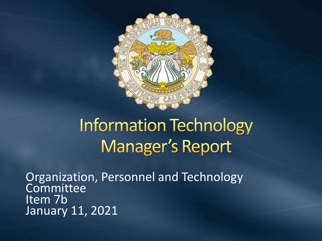

#### **Information Technology Manager's Report**

Organization, Personnel and Technology **Committee** Item 7b January 11, 2021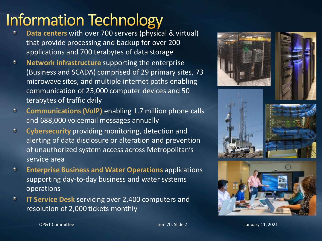#### **Information Technology**

- **Data centers** with over 700 servers (physical & virtual) that provide processing and backup for over 200 applications and 700 terabytes of data storage
- **Network infrastructure** supporting the enterprise  $\bullet$ (Business and SCADA) comprised of 29 primary sites, 73 microwave sites, and multiple internet paths enabling communication of 25,000 computer devices and 50 terabytes of traffic daily
- $\bullet$ **Communications (VoIP)** enabling 1.7 million phone calls and 688,000 voicemail messages annually
- $\bullet$ **Cybersecurity** providing monitoring, detection and alerting of data disclosure or alteration and prevention of unauthorized system access across Metropolitan's service area
- $\bullet$ **Enterprise Business and Water Operations** applications supporting day-to-day business and water systems operations
- **IT Service Desk** servicing over 2,400 computers and  $\bullet$ resolution of 2,000 tickets monthly











OP&T Committee The Item 7b, Slide 2 January 11, 2021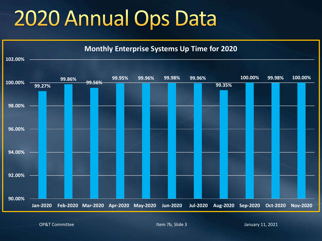### 2020 Annual Ops Data



OP&T Committee The Item 7b, Slide 3 January 11, 2021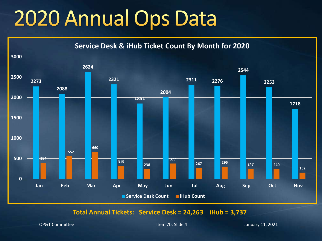### 2020 Annual Ops Data



**Total Annual Tickets: Service Desk = 24,263 iHub = 3,737** 

OP&T Committee The Item 7b, Slide 4 January 11, 2021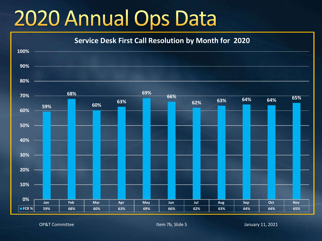### 2020 Annual Ops Data



OP&T Committee The Item 7b, Slide 5 January 11, 2021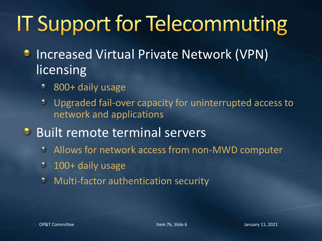# **IT Support for Telecommuting**

- Increased Virtual Private Network (VPN) ۰ licensing
	- 800+ daily usage ۰
	- Upgraded fail-over capacity for uninterrupted access to  $\bullet$ network and applications
- **Built remote terminal servers** 
	- $\bullet$ Allows for network access from non-MWD computer
	- 100+ daily usage  $\bullet$
	- Multi-factor authentication security $\bullet$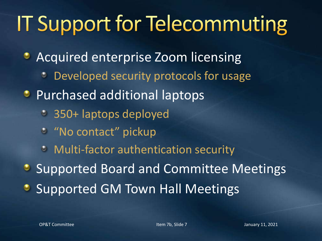# **IT Support for Telecommuting**

- **Acquired enterprise Zoom licensing** 
	- Developed security protocols for usage ۰
- **•** Purchased additional laptops
	- 350+ laptops deployed
	- <sup>o</sup> "No contact" pickup
	- **Multi-factor authentication security**

**• Supported Board and Committee Meetings** 

**Supported GM Town Hall Meetings**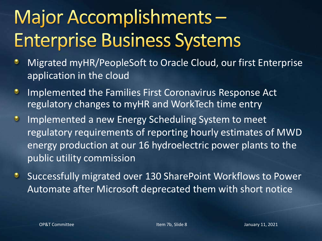#### Major Accomplishments-**Enterprise Business Systems**

- Migrated myHR/PeopleSoft to Oracle Cloud, our first Enterprise ٠ application in the cloud
- Implemented the Families First Coronavirus Response Act ۰ regulatory changes to myHR and WorkTech time entry
- Implemented a new Energy Scheduling System to meet  $\bullet$ regulatory requirements of reporting hourly estimates of MWD energy production at our 16 hydroelectric power plants to the public utility commission
- Successfully migrated over 130 SharePoint Workflows to Power ۰ Automate after Microsoft deprecated them with short notice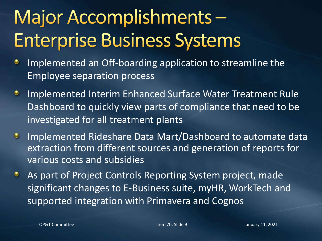#### Major Accomplishments-**Enterprise Business Systems**

- Implemented an Off-boarding application to streamline the ٠ Employee separation process
- Implemented Interim Enhanced Surface Water Treatment Rule ۰ Dashboard to quickly view parts of compliance that need to be investigated for all treatment plants
- Implemented Rideshare Data Mart/Dashboard to automate data  $\bullet$ extraction from different sources and generation of reports for various costs and subsidies
- As part of Project Controls Reporting System project, made ۰ significant changes to E-Business suite, myHR, WorkTech and supported integration with Primavera and Cognos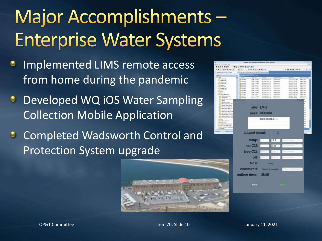#### Major Accomplishments-**Enterprise Water Systems**

- Implemented LIMS remote access from home during the pandemic
- **Developed WQ iOS Water Sampling** Collection Mobile Application
- **C** Completed Wadsworth Control and Protection System upgrade



| 12.4 日本学生学生学生<br>■ 中心空间解除 日<br>算法<br>North and Act of Marie 400 feet<br><b>Tech Take</b><br><b>Text</b><br><b>O</b> STEAM<br>SW Maps |                                                                         |                                                                                                                                                                                                                                 | 1 周 8 8 8 4 H H                                                                                                                                                                                                                                                        | $-1.9$                                                                                                     |
|--------------------------------------------------------------------------------------------------------------------------------------|-------------------------------------------------------------------------|---------------------------------------------------------------------------------------------------------------------------------------------------------------------------------------------------------------------------------|------------------------------------------------------------------------------------------------------------------------------------------------------------------------------------------------------------------------------------------------------------------------|------------------------------------------------------------------------------------------------------------|
|                                                                                                                                      |                                                                         |                                                                                                                                                                                                                                 |                                                                                                                                                                                                                                                                        |                                                                                                            |
|                                                                                                                                      |                                                                         |                                                                                                                                                                                                                                 |                                                                                                                                                                                                                                                                        |                                                                                                            |
|                                                                                                                                      |                                                                         |                                                                                                                                                                                                                                 |                                                                                                                                                                                                                                                                        |                                                                                                            |
|                                                                                                                                      | Paradition.                                                             | Tuesda Edi                                                                                                                                                                                                                      | <b>Business</b>                                                                                                                                                                                                                                                        | 4 Innetty Villa                                                                                            |
|                                                                                                                                      | <b>ESPECIFIE</b>                                                        | <b>We Benefits</b>                                                                                                                                                                                                              | temporate                                                                                                                                                                                                                                                              | <b>State Transf</b>                                                                                        |
| Make of Aspect<br><b>49 JULIANI</b>                                                                                                  | <b>AUXIDENTIAL R</b>                                                    | <b>Britishing</b>                                                                                                                                                                                                               | HOUR LAND                                                                                                                                                                                                                                                              | <b>Executive</b>                                                                                           |
| <b>DIAC LINES</b><br>AP JECKAR<br><b>COLLEGE</b><br>Mille Jacket                                                                     | <b><i><u><i><u><b>REGISTER</b></u></i></u></i></b><br><b>EMMINISTRA</b> | <b>Jecksone</b><br>Arkentin                                                                                                                                                                                                     | 101031-0110<br>100201-0179                                                                                                                                                                                                                                             | 4941-002<br><b>Rake Street</b>                                                                             |
| <b>Highly Project</b><br>alla billiaren e                                                                                            | FURNISHER                                                               | <b>Architecture</b>                                                                                                                                                                                                             | 1505M MATH.                                                                                                                                                                                                                                                            | <b>Site Town</b>                                                                                           |
| ATM 17 MHz<br><b>QLOUNT</b>                                                                                                          | <b>EUGELIZEA</b>                                                        | ariusnine.                                                                                                                                                                                                                      | 101031-0076                                                                                                                                                                                                                                                            | <b>Grand Consul</b>                                                                                        |
|                                                                                                                                      |                                                                         |                                                                                                                                                                                                                                 |                                                                                                                                                                                                                                                                        | <b>Bidden Commer</b><br><b>Died Toyota</b>                                                                 |
|                                                                                                                                      |                                                                         | distante                                                                                                                                                                                                                        | 100121-0022                                                                                                                                                                                                                                                            | <b>Digital Council</b>                                                                                     |
|                                                                                                                                      |                                                                         |                                                                                                                                                                                                                                 |                                                                                                                                                                                                                                                                        | <b>SALTAN</b><br><b>British Towns</b>                                                                      |
|                                                                                                                                      |                                                                         |                                                                                                                                                                                                                                 |                                                                                                                                                                                                                                                                        |                                                                                                            |
|                                                                                                                                      |                                                                         |                                                                                                                                                                                                                                 |                                                                                                                                                                                                                                                                        |                                                                                                            |
|                                                                                                                                      |                                                                         |                                                                                                                                                                                                                                 |                                                                                                                                                                                                                                                                        |                                                                                                            |
|                                                                                                                                      |                                                                         |                                                                                                                                                                                                                                 |                                                                                                                                                                                                                                                                        |                                                                                                            |
|                                                                                                                                      |                                                                         |                                                                                                                                                                                                                                 |                                                                                                                                                                                                                                                                        |                                                                                                            |
|                                                                                                                                      |                                                                         |                                                                                                                                                                                                                                 |                                                                                                                                                                                                                                                                        |                                                                                                            |
|                                                                                                                                      |                                                                         |                                                                                                                                                                                                                                 |                                                                                                                                                                                                                                                                        | u                                                                                                          |
|                                                                                                                                      |                                                                         |                                                                                                                                                                                                                                 |                                                                                                                                                                                                                                                                        |                                                                                                            |
|                                                                                                                                      |                                                                         |                                                                                                                                                                                                                                 |                                                                                                                                                                                                                                                                        |                                                                                                            |
|                                                                                                                                      |                                                                         |                                                                                                                                                                                                                                 |                                                                                                                                                                                                                                                                        |                                                                                                            |
|                                                                                                                                      |                                                                         |                                                                                                                                                                                                                                 |                                                                                                                                                                                                                                                                        |                                                                                                            |
|                                                                                                                                      |                                                                         |                                                                                                                                                                                                                                 |                                                                                                                                                                                                                                                                        |                                                                                                            |
|                                                                                                                                      |                                                                         |                                                                                                                                                                                                                                 |                                                                                                                                                                                                                                                                        |                                                                                                            |
|                                                                                                                                      |                                                                         |                                                                                                                                                                                                                                 |                                                                                                                                                                                                                                                                        |                                                                                                            |
|                                                                                                                                      |                                                                         |                                                                                                                                                                                                                                 |                                                                                                                                                                                                                                                                        |                                                                                                            |
|                                                                                                                                      |                                                                         |                                                                                                                                                                                                                                 |                                                                                                                                                                                                                                                                        |                                                                                                            |
|                                                                                                                                      | Ш                                                                       |                                                                                                                                                                                                                                 |                                                                                                                                                                                                                                                                        |                                                                                                            |
|                                                                                                                                      |                                                                         |                                                                                                                                                                                                                                 |                                                                                                                                                                                                                                                                        |                                                                                                            |
|                                                                                                                                      |                                                                         | 2.35                                                                                                                                                                                                                            | bat =                                                                                                                                                                                                                                                                  |                                                                                                            |
|                                                                                                                                      |                                                                         |                                                                                                                                                                                                                                 |                                                                                                                                                                                                                                                                        |                                                                                                            |
|                                                                                                                                      |                                                                         |                                                                                                                                                                                                                                 |                                                                                                                                                                                                                                                                        |                                                                                                            |
|                                                                                                                                      |                                                                         |                                                                                                                                                                                                                                 |                                                                                                                                                                                                                                                                        |                                                                                                            |
|                                                                                                                                      |                                                                         |                                                                                                                                                                                                                                 |                                                                                                                                                                                                                                                                        |                                                                                                            |
|                                                                                                                                      |                                                                         |                                                                                                                                                                                                                                 |                                                                                                                                                                                                                                                                        |                                                                                                            |
|                                                                                                                                      |                                                                         |                                                                                                                                                                                                                                 |                                                                                                                                                                                                                                                                        |                                                                                                            |
|                                                                                                                                      |                                                                         |                                                                                                                                                                                                                                 |                                                                                                                                                                                                                                                                        |                                                                                                            |
|                                                                                                                                      |                                                                         |                                                                                                                                                                                                                                 |                                                                                                                                                                                                                                                                        |                                                                                                            |
|                                                                                                                                      |                                                                         |                                                                                                                                                                                                                                 | <b>CONNECT CO</b>                                                                                                                                                                                                                                                      |                                                                                                            |
|                                                                                                                                      |                                                                         |                                                                                                                                                                                                                                 |                                                                                                                                                                                                                                                                        |                                                                                                            |
|                                                                                                                                      |                                                                         |                                                                                                                                                                                                                                 |                                                                                                                                                                                                                                                                        |                                                                                                            |
|                                                                                                                                      |                                                                         |                                                                                                                                                                                                                                 |                                                                                                                                                                                                                                                                        |                                                                                                            |
|                                                                                                                                      |                                                                         |                                                                                                                                                                                                                                 |                                                                                                                                                                                                                                                                        |                                                                                                            |
|                                                                                                                                      |                                                                         |                                                                                                                                                                                                                                 |                                                                                                                                                                                                                                                                        |                                                                                                            |
|                                                                                                                                      |                                                                         |                                                                                                                                                                                                                                 |                                                                                                                                                                                                                                                                        |                                                                                                            |
| mar.                                                                                                                                 |                                                                         |                                                                                                                                                                                                                                 |                                                                                                                                                                                                                                                                        |                                                                                                            |
|                                                                                                                                      | <b>CALLED</b><br><b>CENTRAL</b><br>149.91861<br>sir motor<br>WE SEE WAY | 2000 Milano<br>Web Lives<br><b>BELIEU</b><br><b>OFFICIATION</b><br><b>Brid informa</b><br>site: LV-2<br>aliquot count:<br>temp:<br>tot Cl <sub>2</sub> :<br>free Cl <sub>2</sub> :<br>flow:<br>comments:<br>collect time: 15:35 | <b>FAMILIAN A</b><br>Arbusone<br>0.00003990<br><b>Juliannia</b><br>41002114-01<br><b><i><u>DISCONDINERS</u></i></b><br>Ackeline<br><b>Listenswei</b><br>actuals.<br>user: u08350<br>2020-05304-01-1<br>17.9<br>data E<br>pHtM<br>distant.<br>CRAY<br>Sound, if needed. | <b>LEGAL CALL TAN</b><br>Hara vierra.<br>TERRIT MOUR<br>TARGETIMES.<br>one misson<br><b>CALL THIS RUN.</b> |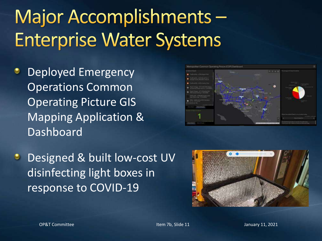#### Major Accomplishments-**Enterprise Water Systems**

- Deployed Emergency Operations Common Operating Picture GIS Mapping Application & Dashboard
- **Designed & built low-cost UV** disinfecting light boxes in response to COVID-19



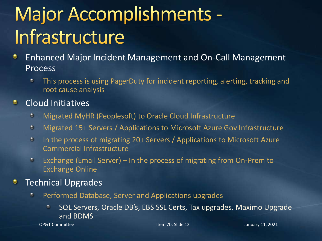#### **Major Accomplishments -**Infrastructure

- Enhanced Major Incident Management and On-Call Management Process
	- ٥ This process is using PagerDuty for incident reporting, alerting, tracking and root cause analysis

#### ۰ Cloud Initiatives

- Migrated MyHR (Peoplesoft) to Oracle Cloud Infrastructure  $\bullet$
- $\odot$ Migrated 15+ Servers / Applications to Microsoft Azure Gov Infrastructure
- $\bullet$ In the process of migrating 20+ Servers / Applications to Microsoft Azure Commercial Infrastructure
- Exchange (Email Server) In the process of migrating from On-Prem to  $\bullet$ Exchange Online

#### Technical Upgrades

- Performed Database, Server and Applications upgrades ۰
	- SQL Servers, Oracle DB's, EBS SSL Certs, Tax upgrades, Maximo Upgrade  $\bullet$ and BDMS

OP&T Committee The Item 7b, Slide 12 January 11, 2021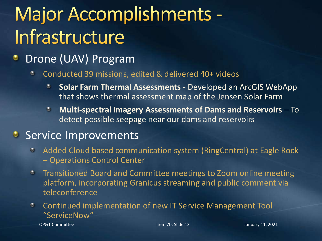#### Major Accomplishments -Infrastructure

#### Drone (UAV) Program

- Conducted 39 missions, edited & delivered 40+ videos  $\bullet$ 
	- **Solar Farm Thermal Assessments**  Developed an ArcGIS WebApp ۰ that shows thermal assessment map of the Jensen Solar Farm
	- **Multi-spectral Imagery Assessments of Dams and Reservoirs**  To detect possible seepage near our dams and reservoirs

#### Service Improvements

- Added Cloud based communication system (RingCentral) at Eagle Rock – Operations Control Center
- Transitioned Board and Committee meetings to Zoom online meeting  $\circ$ platform, incorporating Granicus streaming and public comment via teleconference
- $\bullet$ Continued implementation of new IT Service Management Tool "ServiceNow"

OP&T Committee The Item 7b, Slide 13 January 11, 2021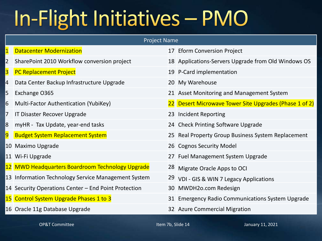## In-Flight Initiatives - PMO

#### Project Name

| $\mathbf{1}$   | <b>Datacenter Modernization</b>                      | 17 Eform Conversion Project                            |
|----------------|------------------------------------------------------|--------------------------------------------------------|
| $\overline{2}$ | SharePoint 2010 Workflow conversion project          | 18 Applications-Servers Upgrade from Old Windows OS    |
| 3              | <b>PC Replacement Project</b>                        | 19 P-Card implementation                               |
| 4              | Data Center Backup Infrastructure Upgrade            | 20 My Warehouse                                        |
| 5              | Exchange O365                                        | 21 Asset Monitoring and Management System              |
| 6              | Multi-Factor Authentication (YubiKey)                | 22 Desert Microwave Tower Site Upgrades (Phase 1 of 2) |
| 7              | IT Disaster Recover Upgrade                          | 23 Incident Reporting                                  |
| 8              | myHR - Tax Update, year-end tasks                    | 24 Check Printing Software Upgrade                     |
|                | 9 Budget System Replacement System                   | 25 Real Property Group Business System Replacement     |
|                | 10 Maximo Upgrade                                    | 26 Cognos Security Model                               |
|                | 11 Wi-Fi Upgrade                                     | 27 Fuel Management System Upgrade                      |
|                | 12 MWD Headquarters Boardroom Technology Upgrade     | <sup>28</sup> Migrate Oracle Apps to OCI               |
|                | 13 Information Technology Service Management System  | <sup>29</sup> VDI - GIS & WIN 7 Legacy Applications    |
|                | 14 Security Operations Center - End Point Protection | 30 MWDH2o.com Redesign                                 |
|                | 15 Control System Upgrade Phases 1 to 3              | 31 Emergency Radio Communications System Upgrade       |
|                | 16 Oracle 11g Database Upgrade                       | 32 Azure Commercial Migration                          |

OP&T Committee The Item 7b, Slide 14 January 11, 2021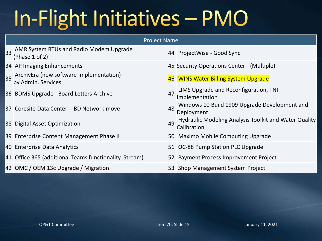## In-Flight Initiatives - PMO

| <b>Project Name</b>                                           |    |                                                                      |  |  |  |  |
|---------------------------------------------------------------|----|----------------------------------------------------------------------|--|--|--|--|
| 33 AMR System RTUs and Radio Modem Upgrade<br>(Phase 1 of 2)  |    | 44 ProjectWise - Good Sync                                           |  |  |  |  |
| 34 AP Imaging Enhancements                                    |    | 45 Security Operations Center - (Multiple)                           |  |  |  |  |
| ArchivEra (new software implementation)<br>by Admin. Services |    | 46 WINS Water Billing System Upgrade                                 |  |  |  |  |
| 36 BDMS Upgrade - Board Letters Archive                       | 47 | LIMS Upgrade and Reconfiguration, TNI<br>Implementation              |  |  |  |  |
| 37 Coresite Data Center - BD Network move                     | 48 | Windows 10 Build 1909 Upgrade Development and<br>Deployment          |  |  |  |  |
| 38 Digital Asset Optimization                                 | 49 | Hydraulic Modeling Analysis Toolkit and Water Quality<br>Calibration |  |  |  |  |
| 39 Enterprise Content Management Phase II                     |    | 50 Maximo Mobile Computing Upgrade                                   |  |  |  |  |
| 40 Enterprise Data Analytics                                  |    | 51 OC-88 Pump Station PLC Upgrade                                    |  |  |  |  |
| 41 Office 365 (additional Teams functionality, Stream)        |    | 52 Payment Process Improvement Project                               |  |  |  |  |
| 42 OMC / OEM 13c Upgrade / Migration                          |    | 53 Shop Management System Project                                    |  |  |  |  |